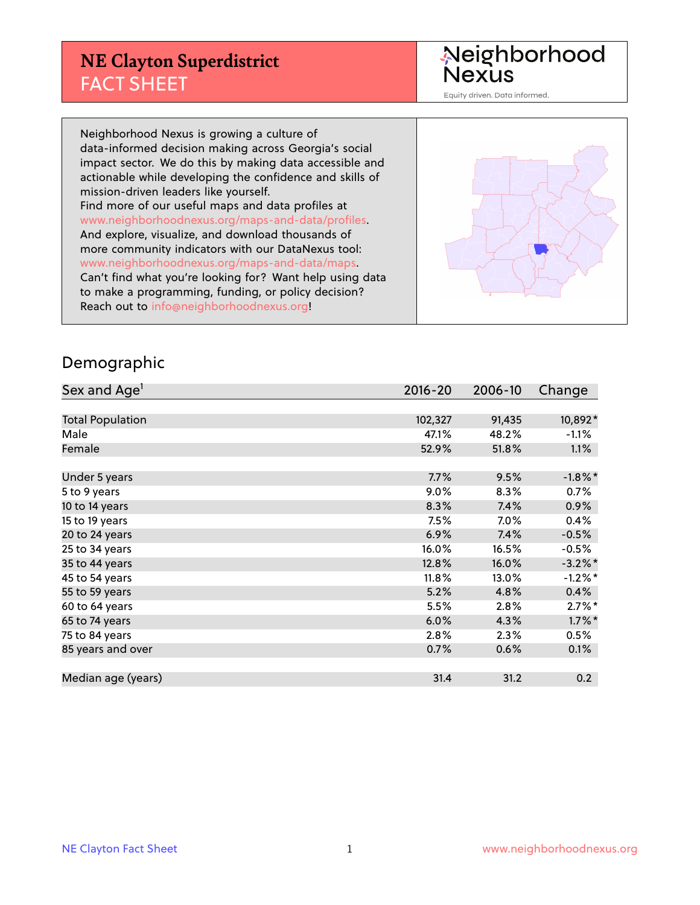## **NE Clayton Superdistrict** FACT SHEET

Neighborhood<br>Nexus

Equity driven. Data informed.

Neighborhood Nexus is growing a culture of data-informed decision making across Georgia's social impact sector. We do this by making data accessible and actionable while developing the confidence and skills of mission-driven leaders like yourself. Find more of our useful maps and data profiles at www.neighborhoodnexus.org/maps-and-data/profiles. And explore, visualize, and download thousands of more community indicators with our DataNexus tool: www.neighborhoodnexus.org/maps-and-data/maps. Can't find what you're looking for? Want help using data to make a programming, funding, or policy decision? Reach out to [info@neighborhoodnexus.org!](mailto:info@neighborhoodnexus.org)



#### Demographic

| Sex and Age <sup>1</sup> | $2016 - 20$ | 2006-10 | Change               |
|--------------------------|-------------|---------|----------------------|
|                          |             |         |                      |
| <b>Total Population</b>  | 102,327     | 91,435  | 10,892*              |
| Male                     | 47.1%       | 48.2%   | $-1.1%$              |
| Female                   | 52.9%       | 51.8%   | $1.1\%$              |
|                          |             |         |                      |
| Under 5 years            | 7.7%        | 9.5%    | $-1.8\%$ *           |
| 5 to 9 years             | 9.0%        | 8.3%    | 0.7%                 |
| 10 to 14 years           | 8.3%        | 7.4%    | 0.9%                 |
| 15 to 19 years           | 7.5%        | $7.0\%$ | 0.4%                 |
| 20 to 24 years           | 6.9%        | 7.4%    | $-0.5%$              |
| 25 to 34 years           | 16.0%       | 16.5%   | $-0.5%$              |
| 35 to 44 years           | 12.8%       | 16.0%   | $-3.2\%$ *           |
| 45 to 54 years           | 11.8%       | 13.0%   | $-1.2\%$ *           |
| 55 to 59 years           | 5.2%        | 4.8%    | 0.4%                 |
| 60 to 64 years           | 5.5%        | 2.8%    | $2.7\%$ <sup>*</sup> |
| 65 to 74 years           | 6.0%        | 4.3%    | $1.7\%$ *            |
| 75 to 84 years           | 2.8%        | 2.3%    | 0.5%                 |
| 85 years and over        | 0.7%        | 0.6%    | 0.1%                 |
|                          |             |         |                      |
| Median age (years)       | 31.4        | 31.2    | 0.2                  |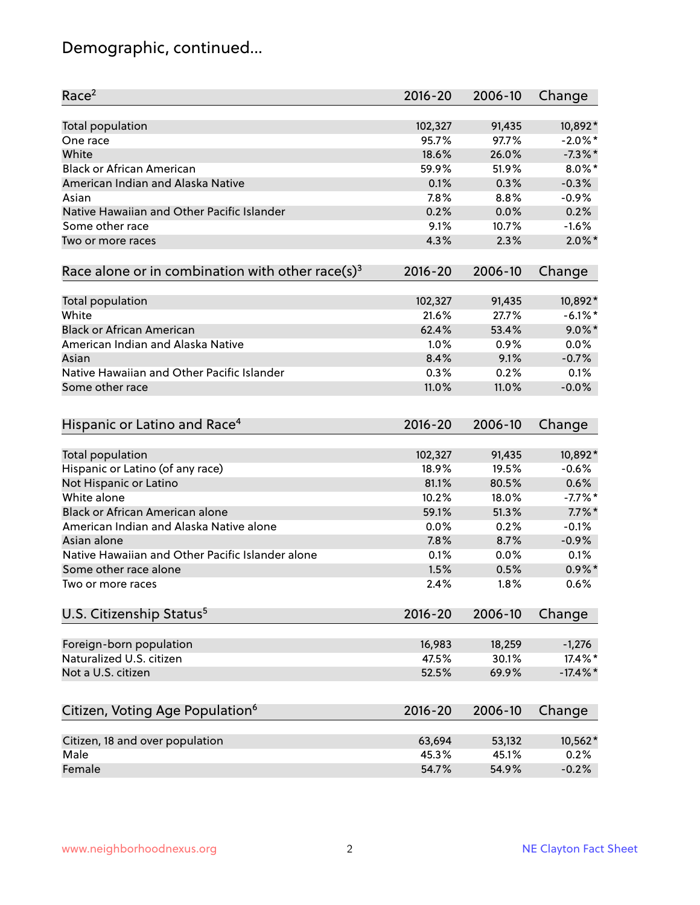# Demographic, continued...

| Race <sup>2</sup>                                            | $2016 - 20$     | 2006-10         | Change      |
|--------------------------------------------------------------|-----------------|-----------------|-------------|
| <b>Total population</b>                                      | 102,327         | 91,435          | 10,892*     |
| One race                                                     | 95.7%           | 97.7%           | $-2.0\%$ *  |
| White                                                        | 18.6%           | 26.0%           | $-7.3\%$ *  |
| <b>Black or African American</b>                             | 59.9%           | 51.9%           | $8.0\%$ *   |
| American Indian and Alaska Native                            | 0.1%            | 0.3%            | $-0.3%$     |
| Asian                                                        | 7.8%            | 8.8%            | $-0.9%$     |
| Native Hawaiian and Other Pacific Islander                   | 0.2%            | 0.0%            | 0.2%        |
| Some other race                                              | 9.1%            | 10.7%           | $-1.6%$     |
| Two or more races                                            | 4.3%            | 2.3%            | $2.0\%$ *   |
| Race alone or in combination with other race(s) <sup>3</sup> | $2016 - 20$     | 2006-10         | Change      |
|                                                              |                 |                 |             |
| Total population                                             | 102,327         | 91,435          | 10,892*     |
| White                                                        | 21.6%           | 27.7%           | $-6.1\%$ *  |
| <b>Black or African American</b>                             | 62.4%           | 53.4%           | $9.0\%$ *   |
| American Indian and Alaska Native                            | 1.0%            | 0.9%            | 0.0%        |
| Asian                                                        | 8.4%            | 9.1%            | $-0.7%$     |
| Native Hawaiian and Other Pacific Islander                   | 0.3%            | 0.2%            | 0.1%        |
| Some other race                                              | 11.0%           | 11.0%           | $-0.0%$     |
|                                                              |                 |                 |             |
| Hispanic or Latino and Race <sup>4</sup>                     | $2016 - 20$     | 2006-10         | Change      |
|                                                              |                 |                 |             |
| <b>Total population</b>                                      | 102,327         | 91,435          | 10,892*     |
| Hispanic or Latino (of any race)                             | 18.9%           | 19.5%           | $-0.6%$     |
| Not Hispanic or Latino                                       | 81.1%           | 80.5%           | 0.6%        |
| White alone                                                  | 10.2%           | 18.0%           | $-7.7%$ *   |
| Black or African American alone                              | 59.1%           | 51.3%           | $7.7\%$ *   |
| American Indian and Alaska Native alone                      | 0.0%            | 0.2%            | $-0.1%$     |
| Asian alone                                                  | 7.8%            | 8.7%            | $-0.9%$     |
| Native Hawaiian and Other Pacific Islander alone             | 0.1%            | 0.0%            | 0.1%        |
| Some other race alone                                        | 1.5%            | 0.5%            | $0.9\%$ *   |
| Two or more races                                            | 2.4%            | 1.8%            | 0.6%        |
| U.S. Citizenship Status <sup>5</sup>                         | $2016 - 20$     | 2006-10         | Change      |
|                                                              |                 |                 | $-1,276$    |
| Foreign-born population<br>Naturalized U.S. citizen          | 16,983<br>47.5% | 18,259<br>30.1% | 17.4%*      |
|                                                              |                 |                 | $-17.4\%$ * |
| Not a U.S. citizen                                           | 52.5%           | 69.9%           |             |
| Citizen, Voting Age Population <sup>6</sup>                  | $2016 - 20$     | 2006-10         | Change      |
| Citizen, 18 and over population                              | 63,694          | 53,132          | 10,562*     |
| Male                                                         | 45.3%           | 45.1%           | 0.2%        |
| Female                                                       | 54.7%           | 54.9%           | $-0.2%$     |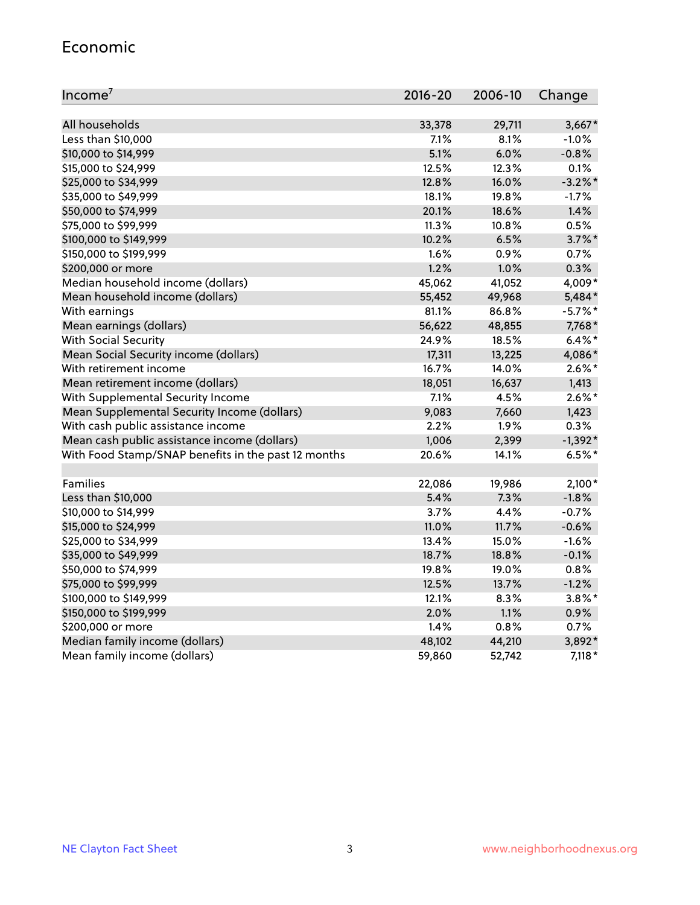#### Economic

| Income <sup>7</sup>                                 | $2016 - 20$ | 2006-10 | Change     |
|-----------------------------------------------------|-------------|---------|------------|
|                                                     |             |         |            |
| All households                                      | 33,378      | 29,711  | $3,667*$   |
| Less than \$10,000                                  | 7.1%        | 8.1%    | $-1.0%$    |
| \$10,000 to \$14,999                                | 5.1%        | 6.0%    | $-0.8%$    |
| \$15,000 to \$24,999                                | 12.5%       | 12.3%   | 0.1%       |
| \$25,000 to \$34,999                                | 12.8%       | 16.0%   | $-3.2\%$ * |
| \$35,000 to \$49,999                                | 18.1%       | 19.8%   | $-1.7%$    |
| \$50,000 to \$74,999                                | 20.1%       | 18.6%   | 1.4%       |
| \$75,000 to \$99,999                                | 11.3%       | 10.8%   | 0.5%       |
| \$100,000 to \$149,999                              | 10.2%       | 6.5%    | $3.7\%$ *  |
| \$150,000 to \$199,999                              | 1.6%        | 0.9%    | 0.7%       |
| \$200,000 or more                                   | 1.2%        | 1.0%    | 0.3%       |
| Median household income (dollars)                   | 45,062      | 41,052  | 4,009*     |
| Mean household income (dollars)                     | 55,452      | 49,968  | 5,484*     |
| With earnings                                       | 81.1%       | 86.8%   | $-5.7%$ *  |
| Mean earnings (dollars)                             | 56,622      | 48,855  | 7,768*     |
| <b>With Social Security</b>                         | 24.9%       | 18.5%   | $6.4\%$ *  |
| Mean Social Security income (dollars)               | 17,311      | 13,225  | 4,086*     |
| With retirement income                              | 16.7%       | 14.0%   | $2.6\%$ *  |
| Mean retirement income (dollars)                    | 18,051      | 16,637  | 1,413      |
| With Supplemental Security Income                   | 7.1%        | 4.5%    | $2.6\%$ *  |
| Mean Supplemental Security Income (dollars)         | 9,083       | 7,660   | 1,423      |
| With cash public assistance income                  | 2.2%        | 1.9%    | 0.3%       |
| Mean cash public assistance income (dollars)        | 1,006       | 2,399   | $-1,392*$  |
| With Food Stamp/SNAP benefits in the past 12 months | 20.6%       | 14.1%   | $6.5%$ *   |
|                                                     |             |         |            |
| Families                                            | 22,086      | 19,986  | $2,100*$   |
| Less than \$10,000                                  | 5.4%        | 7.3%    | $-1.8%$    |
| \$10,000 to \$14,999                                | 3.7%        | 4.4%    | $-0.7%$    |
| \$15,000 to \$24,999                                | 11.0%       | 11.7%   | $-0.6%$    |
| \$25,000 to \$34,999                                | 13.4%       | 15.0%   | $-1.6%$    |
| \$35,000 to \$49,999                                | 18.7%       | 18.8%   | $-0.1%$    |
| \$50,000 to \$74,999                                | 19.8%       | 19.0%   | 0.8%       |
| \$75,000 to \$99,999                                | 12.5%       | 13.7%   | $-1.2%$    |
| \$100,000 to \$149,999                              | 12.1%       | 8.3%    | $3.8\%$ *  |
| \$150,000 to \$199,999                              | 2.0%        | 1.1%    | $0.9\%$    |
| \$200,000 or more                                   | 1.4%        | 0.8%    | 0.7%       |
| Median family income (dollars)                      | 48,102      | 44,210  | 3,892*     |
| Mean family income (dollars)                        | 59,860      | 52,742  | $7,118*$   |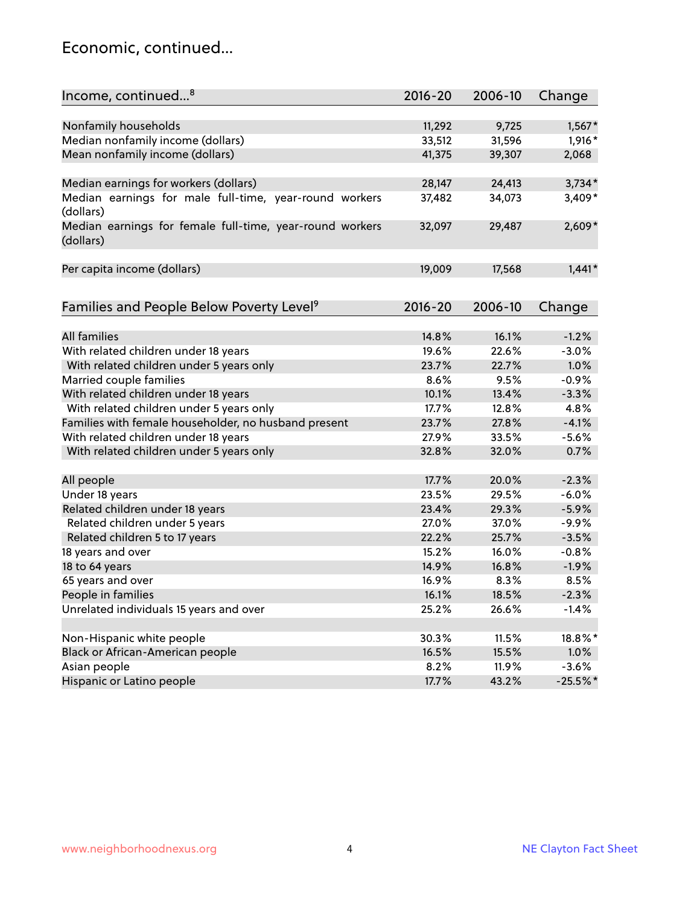#### Economic, continued...

| Income, continued <sup>8</sup>                                        | $2016 - 20$ | 2006-10 | Change     |
|-----------------------------------------------------------------------|-------------|---------|------------|
|                                                                       |             |         |            |
| Nonfamily households                                                  | 11,292      | 9,725   | $1,567*$   |
| Median nonfamily income (dollars)                                     | 33,512      | 31,596  | $1,916*$   |
| Mean nonfamily income (dollars)                                       | 41,375      | 39,307  | 2,068      |
| Median earnings for workers (dollars)                                 | 28,147      | 24,413  | $3,734*$   |
| Median earnings for male full-time, year-round workers<br>(dollars)   | 37,482      | 34,073  | 3,409*     |
| Median earnings for female full-time, year-round workers<br>(dollars) | 32,097      | 29,487  | $2,609*$   |
| Per capita income (dollars)                                           | 19,009      | 17,568  | $1,441*$   |
| Families and People Below Poverty Level <sup>9</sup>                  | 2016-20     | 2006-10 | Change     |
|                                                                       |             |         |            |
| <b>All families</b>                                                   | 14.8%       | 16.1%   | $-1.2%$    |
| With related children under 18 years                                  | 19.6%       | 22.6%   | $-3.0%$    |
| With related children under 5 years only                              | 23.7%       | 22.7%   | 1.0%       |
| Married couple families                                               | 8.6%        | 9.5%    | $-0.9%$    |
| With related children under 18 years                                  | 10.1%       | 13.4%   | $-3.3%$    |
| With related children under 5 years only                              | 17.7%       | 12.8%   | 4.8%       |
| Families with female householder, no husband present                  | 23.7%       | 27.8%   | $-4.1%$    |
| With related children under 18 years                                  | 27.9%       | 33.5%   | $-5.6%$    |
| With related children under 5 years only                              | 32.8%       | 32.0%   | 0.7%       |
|                                                                       |             |         |            |
| All people                                                            | 17.7%       | 20.0%   | $-2.3%$    |
| Under 18 years                                                        | 23.5%       | 29.5%   | $-6.0%$    |
| Related children under 18 years                                       | 23.4%       | 29.3%   | $-5.9%$    |
| Related children under 5 years                                        | 27.0%       | 37.0%   | $-9.9%$    |
| Related children 5 to 17 years                                        | 22.2%       | 25.7%   | $-3.5%$    |
| 18 years and over                                                     | 15.2%       | 16.0%   | $-0.8%$    |
| 18 to 64 years                                                        | 14.9%       | 16.8%   | $-1.9%$    |
| 65 years and over                                                     | 16.9%       | 8.3%    | 8.5%       |
| People in families                                                    | 16.1%       | 18.5%   | $-2.3%$    |
| Unrelated individuals 15 years and over                               | 25.2%       | 26.6%   | $-1.4%$    |
|                                                                       |             |         |            |
| Non-Hispanic white people                                             | 30.3%       | 11.5%   | 18.8%*     |
| Black or African-American people                                      | 16.5%       | 15.5%   | 1.0%       |
| Asian people                                                          | 8.2%        | 11.9%   | $-3.6%$    |
| Hispanic or Latino people                                             | 17.7%       | 43.2%   | $-25.5%$ * |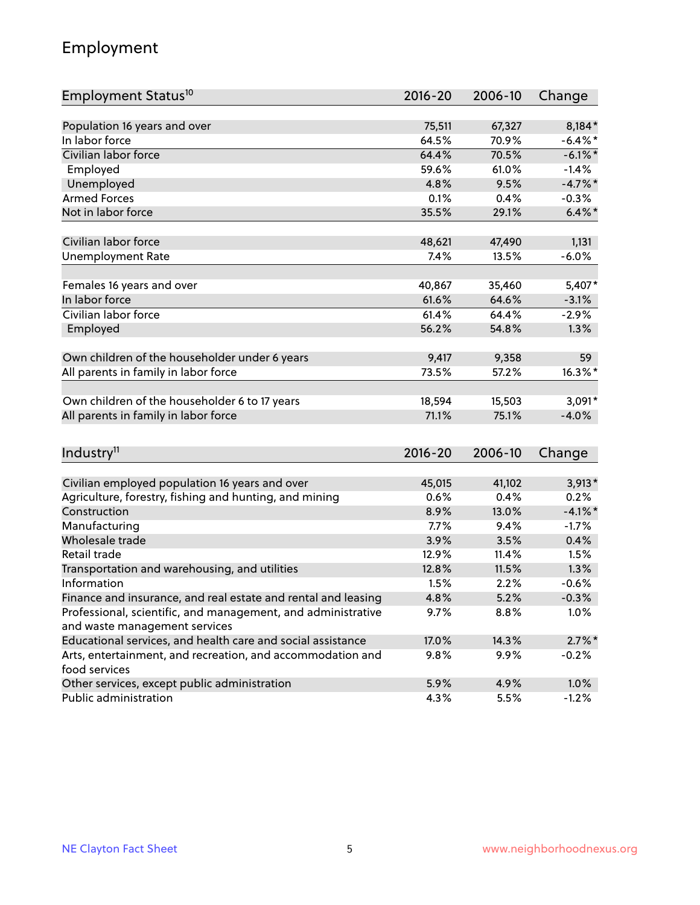## Employment

| Employment Status <sup>10</sup>                               | $2016 - 20$ | 2006-10 | Change     |
|---------------------------------------------------------------|-------------|---------|------------|
|                                                               |             |         |            |
| Population 16 years and over                                  | 75,511      | 67,327  | 8,184*     |
| In labor force                                                | 64.5%       | 70.9%   | $-6.4\%$ * |
| Civilian labor force                                          | 64.4%       | 70.5%   | $-6.1\%$ * |
| Employed                                                      | 59.6%       | 61.0%   | $-1.4%$    |
| Unemployed                                                    | 4.8%        | 9.5%    | $-4.7%$ *  |
| <b>Armed Forces</b>                                           | 0.1%        | 0.4%    | $-0.3%$    |
| Not in labor force                                            | 35.5%       | 29.1%   | $6.4\%$ *  |
| Civilian labor force                                          | 48,621      | 47,490  | 1,131      |
| <b>Unemployment Rate</b>                                      | 7.4%        | 13.5%   | $-6.0%$    |
|                                                               |             |         |            |
| Females 16 years and over                                     | 40,867      | 35,460  | 5,407*     |
| In labor force                                                | 61.6%       | 64.6%   | $-3.1%$    |
| Civilian labor force                                          | 61.4%       | 64.4%   | $-2.9%$    |
| Employed                                                      | 56.2%       | 54.8%   | 1.3%       |
| Own children of the householder under 6 years                 | 9,417       | 9,358   | 59         |
| All parents in family in labor force                          | 73.5%       | 57.2%   | $16.3\%$ * |
|                                                               |             |         |            |
| Own children of the householder 6 to 17 years                 | 18,594      | 15,503  | $3,091*$   |
| All parents in family in labor force                          | 71.1%       | 75.1%   | $-4.0%$    |
|                                                               |             |         |            |
| Industry <sup>11</sup>                                        | $2016 - 20$ | 2006-10 | Change     |
| Civilian employed population 16 years and over                | 45,015      | 41,102  | $3,913*$   |
| Agriculture, forestry, fishing and hunting, and mining        | 0.6%        | 0.4%    | 0.2%       |
| Construction                                                  | 8.9%        | 13.0%   | $-4.1\%$ * |
| Manufacturing                                                 | 7.7%        | 9.4%    | $-1.7%$    |
| Wholesale trade                                               | 3.9%        | 3.5%    | 0.4%       |
| Retail trade                                                  | 12.9%       | 11.4%   | 1.5%       |
| Transportation and warehousing, and utilities                 | 12.8%       | 11.5%   | 1.3%       |
| Information                                                   | 1.5%        | 2.2%    | $-0.6%$    |
| Finance and insurance, and real estate and rental and leasing | 4.8%        | 5.2%    | $-0.3%$    |
| Professional, scientific, and management, and administrative  | 9.7%        | 8.8%    | 1.0%       |
| and waste management services                                 |             |         |            |
| Educational services, and health care and social assistance   | 17.0%       | 14.3%   | $2.7\%$ *  |
| Arts, entertainment, and recreation, and accommodation and    | 9.8%        | 9.9%    | $-0.2%$    |
| food services                                                 |             |         |            |
| Other services, except public administration                  | 5.9%        | 4.9%    | 1.0%       |
| Public administration                                         | 4.3%        | 5.5%    | $-1.2%$    |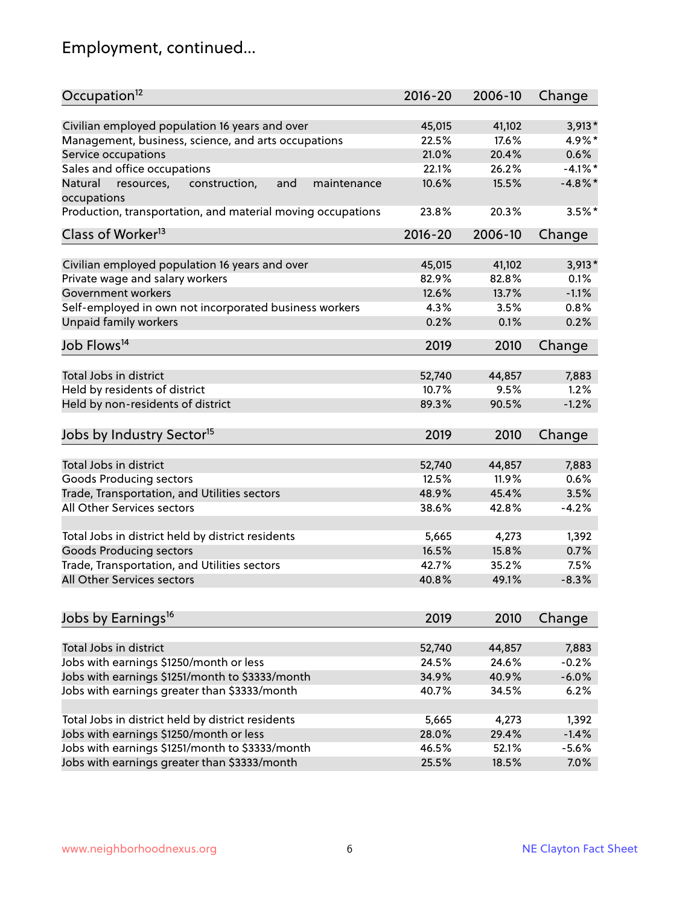# Employment, continued...

| Civilian employed population 16 years and over<br>41,102<br>$3,913*$<br>45,015<br>Management, business, science, and arts occupations<br>22.5%<br>17.6%<br>4.9%*<br>21.0%<br>20.4%<br>Service occupations<br>0.6%<br>Sales and office occupations<br>$-4.1%$ *<br>22.1%<br>26.2%<br>15.5%<br>$-4.8\%$ *<br>Natural<br>and<br>10.6%<br>resources,<br>construction,<br>maintenance<br>$3.5%$ *<br>23.8%<br>20.3%<br>$2016 - 20$<br>2006-10<br>Change<br>Civilian employed population 16 years and over<br>41,102<br>$3,913*$<br>45,015<br>Private wage and salary workers<br>82.9%<br>82.8%<br>0.1%<br>$-1.1%$<br>Government workers<br>12.6%<br>13.7%<br>Self-employed in own not incorporated business workers<br>4.3%<br>0.8%<br>3.5%<br>Unpaid family workers<br>0.2%<br>0.2%<br>0.1%<br>2019<br>2010<br>Change<br>Total Jobs in district<br>52,740<br>44,857<br>7,883<br>Held by residents of district<br>1.2%<br>10.7%<br>9.5%<br>Held by non-residents of district<br>$-1.2%$<br>89.3%<br>90.5%<br>2019<br>2010<br>Change<br>Total Jobs in district<br>52,740<br>44,857<br>7,883<br>Goods Producing sectors<br>12.5%<br>11.9%<br>0.6%<br>Trade, Transportation, and Utilities sectors<br>48.9%<br>45.4%<br>3.5%<br>All Other Services sectors<br>38.6%<br>$-4.2%$<br>42.8%<br>Total Jobs in district held by district residents<br>5,665<br>4,273<br>1,392<br><b>Goods Producing sectors</b><br>15.8%<br>16.5%<br>0.7%<br>Trade, Transportation, and Utilities sectors<br>42.7%<br>35.2%<br>7.5%<br>40.8%<br>49.1%<br>$-8.3%$<br>2019<br>2010<br>Change<br>Total Jobs in district<br>7,883<br>52,740<br>44,857<br>Jobs with earnings \$1250/month or less<br>24.5%<br>24.6%<br>$-0.2%$<br>Jobs with earnings \$1251/month to \$3333/month<br>34.9%<br>40.9%<br>$-6.0%$<br>Jobs with earnings greater than \$3333/month<br>6.2%<br>40.7%<br>34.5%<br>Total Jobs in district held by district residents<br>5,665<br>4,273<br>1,392<br>Jobs with earnings \$1250/month or less<br>29.4%<br>$-1.4%$<br>28.0% | Occupation <sup>12</sup>                                    | $2016 - 20$ | 2006-10 | Change |
|---------------------------------------------------------------------------------------------------------------------------------------------------------------------------------------------------------------------------------------------------------------------------------------------------------------------------------------------------------------------------------------------------------------------------------------------------------------------------------------------------------------------------------------------------------------------------------------------------------------------------------------------------------------------------------------------------------------------------------------------------------------------------------------------------------------------------------------------------------------------------------------------------------------------------------------------------------------------------------------------------------------------------------------------------------------------------------------------------------------------------------------------------------------------------------------------------------------------------------------------------------------------------------------------------------------------------------------------------------------------------------------------------------------------------------------------------------------------------------------------------------------------------------------------------------------------------------------------------------------------------------------------------------------------------------------------------------------------------------------------------------------------------------------------------------------------------------------------------------------------------------------------------------------------------------------------------------------------------------------------------------------|-------------------------------------------------------------|-------------|---------|--------|
|                                                                                                                                                                                                                                                                                                                                                                                                                                                                                                                                                                                                                                                                                                                                                                                                                                                                                                                                                                                                                                                                                                                                                                                                                                                                                                                                                                                                                                                                                                                                                                                                                                                                                                                                                                                                                                                                                                                                                                                                               |                                                             |             |         |        |
|                                                                                                                                                                                                                                                                                                                                                                                                                                                                                                                                                                                                                                                                                                                                                                                                                                                                                                                                                                                                                                                                                                                                                                                                                                                                                                                                                                                                                                                                                                                                                                                                                                                                                                                                                                                                                                                                                                                                                                                                               |                                                             |             |         |        |
|                                                                                                                                                                                                                                                                                                                                                                                                                                                                                                                                                                                                                                                                                                                                                                                                                                                                                                                                                                                                                                                                                                                                                                                                                                                                                                                                                                                                                                                                                                                                                                                                                                                                                                                                                                                                                                                                                                                                                                                                               |                                                             |             |         |        |
|                                                                                                                                                                                                                                                                                                                                                                                                                                                                                                                                                                                                                                                                                                                                                                                                                                                                                                                                                                                                                                                                                                                                                                                                                                                                                                                                                                                                                                                                                                                                                                                                                                                                                                                                                                                                                                                                                                                                                                                                               |                                                             |             |         |        |
|                                                                                                                                                                                                                                                                                                                                                                                                                                                                                                                                                                                                                                                                                                                                                                                                                                                                                                                                                                                                                                                                                                                                                                                                                                                                                                                                                                                                                                                                                                                                                                                                                                                                                                                                                                                                                                                                                                                                                                                                               |                                                             |             |         |        |
|                                                                                                                                                                                                                                                                                                                                                                                                                                                                                                                                                                                                                                                                                                                                                                                                                                                                                                                                                                                                                                                                                                                                                                                                                                                                                                                                                                                                                                                                                                                                                                                                                                                                                                                                                                                                                                                                                                                                                                                                               | occupations                                                 |             |         |        |
|                                                                                                                                                                                                                                                                                                                                                                                                                                                                                                                                                                                                                                                                                                                                                                                                                                                                                                                                                                                                                                                                                                                                                                                                                                                                                                                                                                                                                                                                                                                                                                                                                                                                                                                                                                                                                                                                                                                                                                                                               | Production, transportation, and material moving occupations |             |         |        |
|                                                                                                                                                                                                                                                                                                                                                                                                                                                                                                                                                                                                                                                                                                                                                                                                                                                                                                                                                                                                                                                                                                                                                                                                                                                                                                                                                                                                                                                                                                                                                                                                                                                                                                                                                                                                                                                                                                                                                                                                               | Class of Worker <sup>13</sup>                               |             |         |        |
|                                                                                                                                                                                                                                                                                                                                                                                                                                                                                                                                                                                                                                                                                                                                                                                                                                                                                                                                                                                                                                                                                                                                                                                                                                                                                                                                                                                                                                                                                                                                                                                                                                                                                                                                                                                                                                                                                                                                                                                                               |                                                             |             |         |        |
|                                                                                                                                                                                                                                                                                                                                                                                                                                                                                                                                                                                                                                                                                                                                                                                                                                                                                                                                                                                                                                                                                                                                                                                                                                                                                                                                                                                                                                                                                                                                                                                                                                                                                                                                                                                                                                                                                                                                                                                                               |                                                             |             |         |        |
|                                                                                                                                                                                                                                                                                                                                                                                                                                                                                                                                                                                                                                                                                                                                                                                                                                                                                                                                                                                                                                                                                                                                                                                                                                                                                                                                                                                                                                                                                                                                                                                                                                                                                                                                                                                                                                                                                                                                                                                                               |                                                             |             |         |        |
|                                                                                                                                                                                                                                                                                                                                                                                                                                                                                                                                                                                                                                                                                                                                                                                                                                                                                                                                                                                                                                                                                                                                                                                                                                                                                                                                                                                                                                                                                                                                                                                                                                                                                                                                                                                                                                                                                                                                                                                                               |                                                             |             |         |        |
|                                                                                                                                                                                                                                                                                                                                                                                                                                                                                                                                                                                                                                                                                                                                                                                                                                                                                                                                                                                                                                                                                                                                                                                                                                                                                                                                                                                                                                                                                                                                                                                                                                                                                                                                                                                                                                                                                                                                                                                                               |                                                             |             |         |        |
|                                                                                                                                                                                                                                                                                                                                                                                                                                                                                                                                                                                                                                                                                                                                                                                                                                                                                                                                                                                                                                                                                                                                                                                                                                                                                                                                                                                                                                                                                                                                                                                                                                                                                                                                                                                                                                                                                                                                                                                                               |                                                             |             |         |        |
|                                                                                                                                                                                                                                                                                                                                                                                                                                                                                                                                                                                                                                                                                                                                                                                                                                                                                                                                                                                                                                                                                                                                                                                                                                                                                                                                                                                                                                                                                                                                                                                                                                                                                                                                                                                                                                                                                                                                                                                                               | Job Flows <sup>14</sup>                                     |             |         |        |
|                                                                                                                                                                                                                                                                                                                                                                                                                                                                                                                                                                                                                                                                                                                                                                                                                                                                                                                                                                                                                                                                                                                                                                                                                                                                                                                                                                                                                                                                                                                                                                                                                                                                                                                                                                                                                                                                                                                                                                                                               |                                                             |             |         |        |
|                                                                                                                                                                                                                                                                                                                                                                                                                                                                                                                                                                                                                                                                                                                                                                                                                                                                                                                                                                                                                                                                                                                                                                                                                                                                                                                                                                                                                                                                                                                                                                                                                                                                                                                                                                                                                                                                                                                                                                                                               |                                                             |             |         |        |
|                                                                                                                                                                                                                                                                                                                                                                                                                                                                                                                                                                                                                                                                                                                                                                                                                                                                                                                                                                                                                                                                                                                                                                                                                                                                                                                                                                                                                                                                                                                                                                                                                                                                                                                                                                                                                                                                                                                                                                                                               |                                                             |             |         |        |
|                                                                                                                                                                                                                                                                                                                                                                                                                                                                                                                                                                                                                                                                                                                                                                                                                                                                                                                                                                                                                                                                                                                                                                                                                                                                                                                                                                                                                                                                                                                                                                                                                                                                                                                                                                                                                                                                                                                                                                                                               |                                                             |             |         |        |
|                                                                                                                                                                                                                                                                                                                                                                                                                                                                                                                                                                                                                                                                                                                                                                                                                                                                                                                                                                                                                                                                                                                                                                                                                                                                                                                                                                                                                                                                                                                                                                                                                                                                                                                                                                                                                                                                                                                                                                                                               | Jobs by Industry Sector <sup>15</sup>                       |             |         |        |
|                                                                                                                                                                                                                                                                                                                                                                                                                                                                                                                                                                                                                                                                                                                                                                                                                                                                                                                                                                                                                                                                                                                                                                                                                                                                                                                                                                                                                                                                                                                                                                                                                                                                                                                                                                                                                                                                                                                                                                                                               |                                                             |             |         |        |
|                                                                                                                                                                                                                                                                                                                                                                                                                                                                                                                                                                                                                                                                                                                                                                                                                                                                                                                                                                                                                                                                                                                                                                                                                                                                                                                                                                                                                                                                                                                                                                                                                                                                                                                                                                                                                                                                                                                                                                                                               |                                                             |             |         |        |
|                                                                                                                                                                                                                                                                                                                                                                                                                                                                                                                                                                                                                                                                                                                                                                                                                                                                                                                                                                                                                                                                                                                                                                                                                                                                                                                                                                                                                                                                                                                                                                                                                                                                                                                                                                                                                                                                                                                                                                                                               |                                                             |             |         |        |
|                                                                                                                                                                                                                                                                                                                                                                                                                                                                                                                                                                                                                                                                                                                                                                                                                                                                                                                                                                                                                                                                                                                                                                                                                                                                                                                                                                                                                                                                                                                                                                                                                                                                                                                                                                                                                                                                                                                                                                                                               |                                                             |             |         |        |
|                                                                                                                                                                                                                                                                                                                                                                                                                                                                                                                                                                                                                                                                                                                                                                                                                                                                                                                                                                                                                                                                                                                                                                                                                                                                                                                                                                                                                                                                                                                                                                                                                                                                                                                                                                                                                                                                                                                                                                                                               |                                                             |             |         |        |
|                                                                                                                                                                                                                                                                                                                                                                                                                                                                                                                                                                                                                                                                                                                                                                                                                                                                                                                                                                                                                                                                                                                                                                                                                                                                                                                                                                                                                                                                                                                                                                                                                                                                                                                                                                                                                                                                                                                                                                                                               |                                                             |             |         |        |
|                                                                                                                                                                                                                                                                                                                                                                                                                                                                                                                                                                                                                                                                                                                                                                                                                                                                                                                                                                                                                                                                                                                                                                                                                                                                                                                                                                                                                                                                                                                                                                                                                                                                                                                                                                                                                                                                                                                                                                                                               |                                                             |             |         |        |
|                                                                                                                                                                                                                                                                                                                                                                                                                                                                                                                                                                                                                                                                                                                                                                                                                                                                                                                                                                                                                                                                                                                                                                                                                                                                                                                                                                                                                                                                                                                                                                                                                                                                                                                                                                                                                                                                                                                                                                                                               |                                                             |             |         |        |
|                                                                                                                                                                                                                                                                                                                                                                                                                                                                                                                                                                                                                                                                                                                                                                                                                                                                                                                                                                                                                                                                                                                                                                                                                                                                                                                                                                                                                                                                                                                                                                                                                                                                                                                                                                                                                                                                                                                                                                                                               | All Other Services sectors                                  |             |         |        |
|                                                                                                                                                                                                                                                                                                                                                                                                                                                                                                                                                                                                                                                                                                                                                                                                                                                                                                                                                                                                                                                                                                                                                                                                                                                                                                                                                                                                                                                                                                                                                                                                                                                                                                                                                                                                                                                                                                                                                                                                               |                                                             |             |         |        |
|                                                                                                                                                                                                                                                                                                                                                                                                                                                                                                                                                                                                                                                                                                                                                                                                                                                                                                                                                                                                                                                                                                                                                                                                                                                                                                                                                                                                                                                                                                                                                                                                                                                                                                                                                                                                                                                                                                                                                                                                               | Jobs by Earnings <sup>16</sup>                              |             |         |        |
|                                                                                                                                                                                                                                                                                                                                                                                                                                                                                                                                                                                                                                                                                                                                                                                                                                                                                                                                                                                                                                                                                                                                                                                                                                                                                                                                                                                                                                                                                                                                                                                                                                                                                                                                                                                                                                                                                                                                                                                                               |                                                             |             |         |        |
|                                                                                                                                                                                                                                                                                                                                                                                                                                                                                                                                                                                                                                                                                                                                                                                                                                                                                                                                                                                                                                                                                                                                                                                                                                                                                                                                                                                                                                                                                                                                                                                                                                                                                                                                                                                                                                                                                                                                                                                                               |                                                             |             |         |        |
|                                                                                                                                                                                                                                                                                                                                                                                                                                                                                                                                                                                                                                                                                                                                                                                                                                                                                                                                                                                                                                                                                                                                                                                                                                                                                                                                                                                                                                                                                                                                                                                                                                                                                                                                                                                                                                                                                                                                                                                                               |                                                             |             |         |        |
|                                                                                                                                                                                                                                                                                                                                                                                                                                                                                                                                                                                                                                                                                                                                                                                                                                                                                                                                                                                                                                                                                                                                                                                                                                                                                                                                                                                                                                                                                                                                                                                                                                                                                                                                                                                                                                                                                                                                                                                                               |                                                             |             |         |        |
|                                                                                                                                                                                                                                                                                                                                                                                                                                                                                                                                                                                                                                                                                                                                                                                                                                                                                                                                                                                                                                                                                                                                                                                                                                                                                                                                                                                                                                                                                                                                                                                                                                                                                                                                                                                                                                                                                                                                                                                                               |                                                             |             |         |        |
|                                                                                                                                                                                                                                                                                                                                                                                                                                                                                                                                                                                                                                                                                                                                                                                                                                                                                                                                                                                                                                                                                                                                                                                                                                                                                                                                                                                                                                                                                                                                                                                                                                                                                                                                                                                                                                                                                                                                                                                                               |                                                             |             |         |        |
|                                                                                                                                                                                                                                                                                                                                                                                                                                                                                                                                                                                                                                                                                                                                                                                                                                                                                                                                                                                                                                                                                                                                                                                                                                                                                                                                                                                                                                                                                                                                                                                                                                                                                                                                                                                                                                                                                                                                                                                                               |                                                             |             |         |        |
| 46.5%<br>52.1%<br>$-5.6%$                                                                                                                                                                                                                                                                                                                                                                                                                                                                                                                                                                                                                                                                                                                                                                                                                                                                                                                                                                                                                                                                                                                                                                                                                                                                                                                                                                                                                                                                                                                                                                                                                                                                                                                                                                                                                                                                                                                                                                                     | Jobs with earnings \$1251/month to \$3333/month             |             |         |        |
| 25.5%<br>7.0%<br>18.5%                                                                                                                                                                                                                                                                                                                                                                                                                                                                                                                                                                                                                                                                                                                                                                                                                                                                                                                                                                                                                                                                                                                                                                                                                                                                                                                                                                                                                                                                                                                                                                                                                                                                                                                                                                                                                                                                                                                                                                                        | Jobs with earnings greater than \$3333/month                |             |         |        |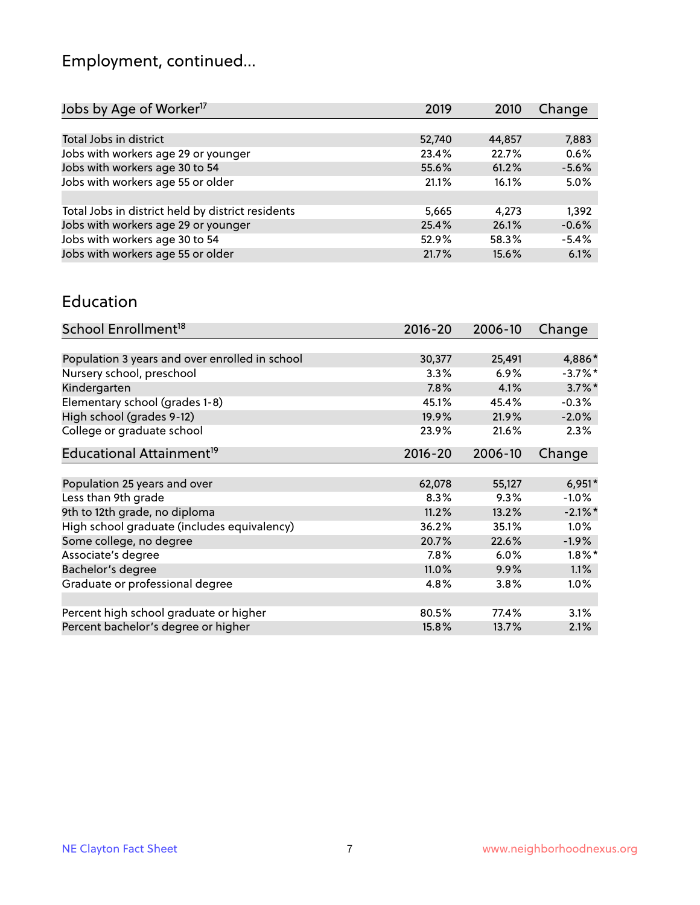# Employment, continued...

| 2019   | 2010   | Change  |
|--------|--------|---------|
|        |        |         |
| 52,740 | 44,857 | 7,883   |
| 23.4%  | 22.7%  | 0.6%    |
| 55.6%  | 61.2%  | $-5.6%$ |
| 21.1%  | 16.1%  | 5.0%    |
|        |        |         |
| 5,665  | 4.273  | 1,392   |
| 25.4%  | 26.1%  | $-0.6%$ |
| 52.9%  | 58.3%  | $-5.4%$ |
| 21.7%  | 15.6%  | 6.1%    |
|        |        |         |

#### Education

| School Enrollment <sup>18</sup>                | $2016 - 20$ | 2006-10 | Change     |
|------------------------------------------------|-------------|---------|------------|
|                                                |             |         |            |
| Population 3 years and over enrolled in school | 30,377      | 25,491  | 4,886*     |
| Nursery school, preschool                      | 3.3%        | 6.9%    | $-3.7\%$ * |
| Kindergarten                                   | 7.8%        | 4.1%    | $3.7\%$ *  |
| Elementary school (grades 1-8)                 | 45.1%       | 45.4%   | $-0.3%$    |
| High school (grades 9-12)                      | 19.9%       | 21.9%   | $-2.0%$    |
| College or graduate school                     | 23.9%       | 21.6%   | 2.3%       |
| Educational Attainment <sup>19</sup>           | $2016 - 20$ | 2006-10 | Change     |
|                                                |             |         |            |
| Population 25 years and over                   | 62,078      | 55,127  | $6,951*$   |
| Less than 9th grade                            | 8.3%        | 9.3%    | $-1.0%$    |
| 9th to 12th grade, no diploma                  | 11.2%       | 13.2%   | $-2.1\%$ * |
| High school graduate (includes equivalency)    | 36.2%       | 35.1%   | $1.0\%$    |
| Some college, no degree                        | 20.7%       | 22.6%   | $-1.9%$    |
| Associate's degree                             | 7.8%        | 6.0%    | $1.8\%$ *  |
| Bachelor's degree                              | 11.0%       | 9.9%    | 1.1%       |
| Graduate or professional degree                | 4.8%        | 3.8%    | $1.0\%$    |
|                                                |             |         |            |
| Percent high school graduate or higher         | 80.5%       | 77.4%   | 3.1%       |
| Percent bachelor's degree or higher            | 15.8%       | 13.7%   | 2.1%       |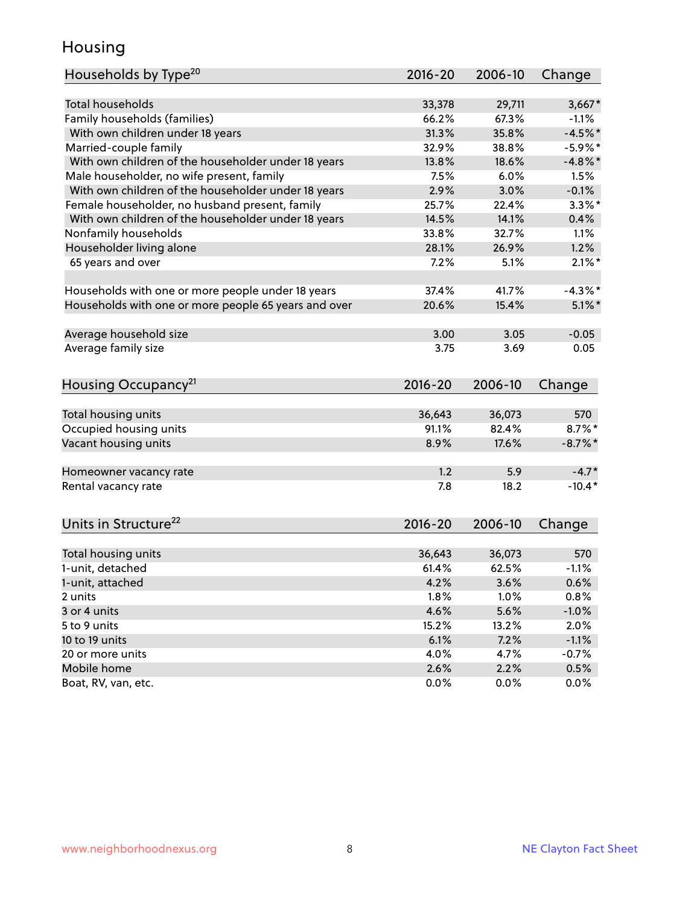## Housing

| Households by Type <sup>20</sup>                     | 2016-20     | 2006-10 | Change     |
|------------------------------------------------------|-------------|---------|------------|
|                                                      |             |         |            |
| <b>Total households</b>                              | 33,378      | 29,711  | $3,667*$   |
| Family households (families)                         | 66.2%       | 67.3%   | $-1.1%$    |
| With own children under 18 years                     | 31.3%       | 35.8%   | $-4.5%$ *  |
| Married-couple family                                | 32.9%       | 38.8%   | $-5.9\%$ * |
| With own children of the householder under 18 years  | 13.8%       | 18.6%   | $-4.8\%$ * |
| Male householder, no wife present, family            | 7.5%        | 6.0%    | 1.5%       |
| With own children of the householder under 18 years  | 2.9%        | 3.0%    | $-0.1%$    |
| Female householder, no husband present, family       | 25.7%       | 22.4%   | $3.3\%$ *  |
| With own children of the householder under 18 years  | 14.5%       | 14.1%   | 0.4%       |
| Nonfamily households                                 | 33.8%       | 32.7%   | 1.1%       |
| Householder living alone                             | 28.1%       | 26.9%   | 1.2%       |
| 65 years and over                                    | 7.2%        | 5.1%    | $2.1\%$ *  |
| Households with one or more people under 18 years    | 37.4%       | 41.7%   | $-4.3\%$ * |
| Households with one or more people 65 years and over | 20.6%       | 15.4%   | $5.1\%$ *  |
| Average household size                               | 3.00        | 3.05    | $-0.05$    |
| Average family size                                  | 3.75        | 3.69    | 0.05       |
|                                                      |             |         |            |
| Housing Occupancy <sup>21</sup>                      | $2016 - 20$ | 2006-10 | Change     |
| Total housing units                                  | 36,643      | 36,073  | 570        |
| Occupied housing units                               | 91.1%       | 82.4%   | $8.7\%$ *  |
| Vacant housing units                                 | 8.9%        | 17.6%   | $-8.7\%$ * |
|                                                      |             |         |            |
| Homeowner vacancy rate                               | 1.2         | 5.9     | $-4.7*$    |
| Rental vacancy rate                                  | 7.8         | 18.2    | $-10.4*$   |
| Units in Structure <sup>22</sup>                     | 2016-20     | 2006-10 | Change     |
|                                                      |             |         |            |
| Total housing units                                  | 36,643      | 36,073  | 570        |
| 1-unit, detached                                     | 61.4%       | 62.5%   | $-1.1%$    |
| 1-unit, attached                                     | 4.2%        | 3.6%    | 0.6%       |
| 2 units                                              | 1.8%        | 1.0%    | 0.8%       |
| 3 or 4 units                                         | 4.6%        | 5.6%    | $-1.0%$    |
| 5 to 9 units                                         | 15.2%       | 13.2%   | 2.0%       |
| 10 to 19 units                                       | 6.1%        | 7.2%    | $-1.1%$    |
| 20 or more units                                     | 4.0%        | 4.7%    | $-0.7%$    |
| Mobile home                                          | 2.6%        | 2.2%    | 0.5%       |
| Boat, RV, van, etc.                                  | 0.0%        | 0.0%    | 0.0%       |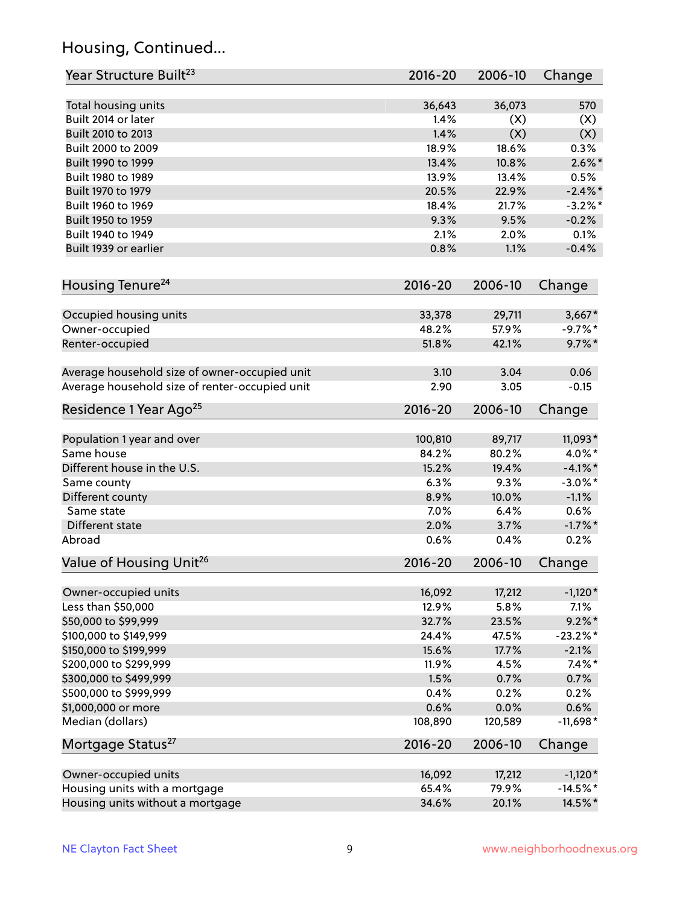## Housing, Continued...

| Year Structure Built <sup>23</sup>             | 2016-20         | 2006-10 | Change      |
|------------------------------------------------|-----------------|---------|-------------|
| Total housing units                            | 36,643          | 36,073  | 570         |
| Built 2014 or later                            | 1.4%            | (X)     | (X)         |
| Built 2010 to 2013                             | 1.4%            | (X)     | (X)         |
| Built 2000 to 2009                             | 18.9%           | 18.6%   | 0.3%        |
| Built 1990 to 1999                             | 13.4%           | 10.8%   | $2.6\%$ *   |
| Built 1980 to 1989                             | 13.9%           | 13.4%   | 0.5%        |
| Built 1970 to 1979                             | 20.5%           | 22.9%   | $-2.4\%$ *  |
| Built 1960 to 1969                             | 18.4%           | 21.7%   | $-3.2%$ *   |
| Built 1950 to 1959                             | 9.3%            | 9.5%    | $-0.2%$     |
| Built 1940 to 1949                             | 2.1%            | 2.0%    | 0.1%        |
| Built 1939 or earlier                          | 0.8%            | 1.1%    | $-0.4%$     |
|                                                |                 |         |             |
| Housing Tenure <sup>24</sup>                   | $2016 - 20$     | 2006-10 | Change      |
| Occupied housing units                         | 33,378          | 29,711  | $3,667*$    |
| Owner-occupied                                 | 48.2%           | 57.9%   | $-9.7\%$ *  |
| Renter-occupied                                | 51.8%           | 42.1%   | $9.7\%$ *   |
|                                                |                 |         |             |
| Average household size of owner-occupied unit  | 3.10            | 3.04    | 0.06        |
| Average household size of renter-occupied unit | 2.90            | 3.05    | $-0.15$     |
| Residence 1 Year Ago <sup>25</sup>             | $2016 - 20$     | 2006-10 | Change      |
|                                                |                 |         |             |
| Population 1 year and over                     | 100,810         | 89,717  | 11,093*     |
| Same house                                     | 84.2%           | 80.2%   | $4.0\%$ *   |
| Different house in the U.S.                    | 15.2%           | 19.4%   | $-4.1\%$ *  |
| Same county                                    | 6.3%            | 9.3%    | $-3.0\%$ *  |
| Different county                               | 8.9%            | 10.0%   | $-1.1%$     |
| Same state                                     | 7.0%            | 6.4%    | 0.6%        |
| Different state                                | 2.0%            | 3.7%    | $-1.7%$ *   |
| Abroad                                         | 0.6%            | 0.4%    | 0.2%        |
| Value of Housing Unit <sup>26</sup>            | 2016-20         | 2006-10 | Change      |
| Owner-occupied units                           | 16,092          | 17,212  | $-1,120*$   |
| Less than \$50,000                             | 12.9%           | 5.8%    | 7.1%        |
| \$50,000 to \$99,999                           | 32.7%           | 23.5%   | $9.2\%$ *   |
| \$100,000 to \$149,999                         | 24.4%           | 47.5%   | $-23.2\%$ * |
| \$150,000 to \$199,999                         | 15.6%           | 17.7%   | $-2.1%$     |
| \$200,000 to \$299,999                         | 11.9%           | 4.5%    | $7.4\%$ *   |
| \$300,000 to \$499,999                         | 1.5%            | 0.7%    | 0.7%        |
|                                                |                 |         |             |
| \$500,000 to \$999,999<br>\$1,000,000 or more  | 0.4%            | 0.2%    | 0.2%        |
| Median (dollars)                               | 0.6%<br>108,890 | 0.0%    | 0.6%        |
|                                                |                 | 120,589 | $-11,698*$  |
| Mortgage Status <sup>27</sup>                  | $2016 - 20$     | 2006-10 | Change      |
| Owner-occupied units                           | 16,092          | 17,212  | $-1,120*$   |
| Housing units with a mortgage                  | 65.4%           | 79.9%   | $-14.5\%$ * |
| Housing units without a mortgage               | 34.6%           | 20.1%   | 14.5%*      |
|                                                |                 |         |             |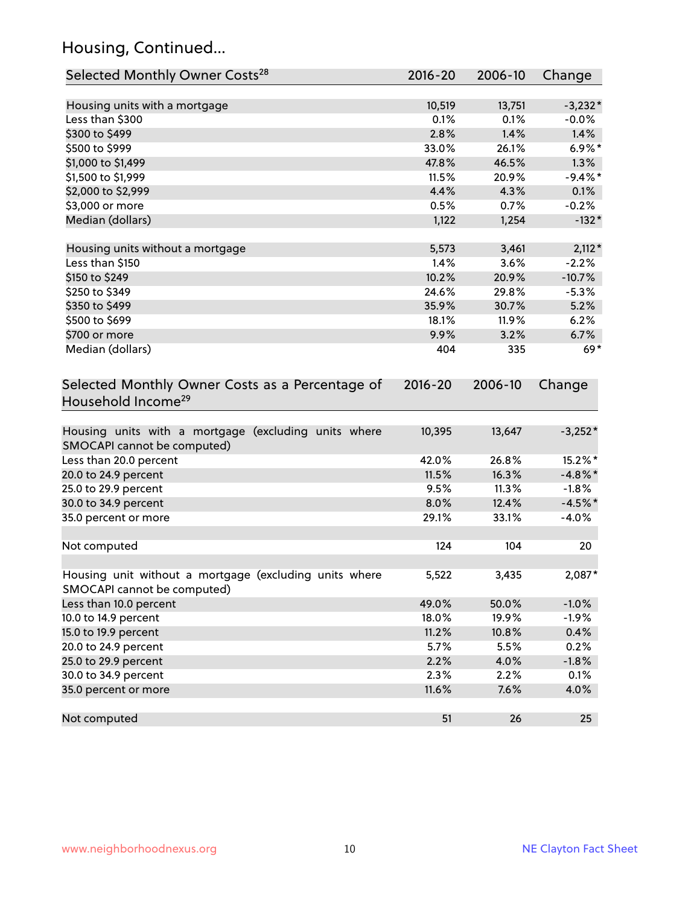## Housing, Continued...

| Selected Monthly Owner Costs <sup>28</sup>                                            | $2016 - 20$ | 2006-10 | Change     |
|---------------------------------------------------------------------------------------|-------------|---------|------------|
| Housing units with a mortgage                                                         | 10,519      | 13,751  | $-3,232*$  |
| Less than \$300                                                                       | 0.1%        | 0.1%    | $-0.0%$    |
| \$300 to \$499                                                                        | 2.8%        | 1.4%    | 1.4%       |
| \$500 to \$999                                                                        | 33.0%       | 26.1%   | $6.9\%*$   |
| \$1,000 to \$1,499                                                                    | 47.8%       | 46.5%   | 1.3%       |
| \$1,500 to \$1,999                                                                    | 11.5%       | 20.9%   | $-9.4%$ *  |
| \$2,000 to \$2,999                                                                    | 4.4%        | 4.3%    | 0.1%       |
| \$3,000 or more                                                                       | 0.5%        | 0.7%    | $-0.2%$    |
| Median (dollars)                                                                      | 1,122       | 1,254   | $-132*$    |
| Housing units without a mortgage                                                      | 5,573       | 3,461   | $2,112*$   |
| Less than \$150                                                                       | 1.4%        | 3.6%    | $-2.2%$    |
| \$150 to \$249                                                                        | 10.2%       | 20.9%   | $-10.7%$   |
| \$250 to \$349                                                                        | 24.6%       | 29.8%   | $-5.3%$    |
| \$350 to \$499                                                                        | 35.9%       | 30.7%   | 5.2%       |
| \$500 to \$699                                                                        | 18.1%       | 11.9%   | 6.2%       |
| \$700 or more                                                                         | 9.9%        | 3.2%    | 6.7%       |
| Median (dollars)                                                                      | 404         | 335     | $69*$      |
| Selected Monthly Owner Costs as a Percentage of<br>Household Income <sup>29</sup>     | $2016 - 20$ | 2006-10 | Change     |
| Housing units with a mortgage (excluding units where<br>SMOCAPI cannot be computed)   | 10,395      | 13,647  | $-3,252*$  |
| Less than 20.0 percent                                                                | 42.0%       | 26.8%   | 15.2%*     |
| 20.0 to 24.9 percent                                                                  | 11.5%       | 16.3%   | $-4.8\%$ * |
| 25.0 to 29.9 percent                                                                  | 9.5%        | 11.3%   | $-1.8%$    |
| 30.0 to 34.9 percent                                                                  | 8.0%        | 12.4%   | $-4.5%$ *  |
| 35.0 percent or more                                                                  | 29.1%       | 33.1%   | $-4.0%$    |
| Not computed                                                                          | 124         | 104     | 20         |
| Housing unit without a mortgage (excluding units where<br>SMOCAPI cannot be computed) | 5,522       | 3,435   | 2,087*     |
| Less than 10.0 percent                                                                | 49.0%       | 50.0%   | $-1.0%$    |
| 10.0 to 14.9 percent                                                                  | 18.0%       | 19.9%   | $-1.9%$    |
| 15.0 to 19.9 percent                                                                  | 11.2%       | 10.8%   | 0.4%       |
| 20.0 to 24.9 percent                                                                  | 5.7%        | 5.5%    | 0.2%       |
| 25.0 to 29.9 percent                                                                  | 2.2%        | 4.0%    | $-1.8%$    |
| 30.0 to 34.9 percent                                                                  | 2.3%        | 2.2%    | 0.1%       |
| 35.0 percent or more                                                                  | 11.6%       | 7.6%    | 4.0%       |
| Not computed                                                                          | 51          | 26      | 25         |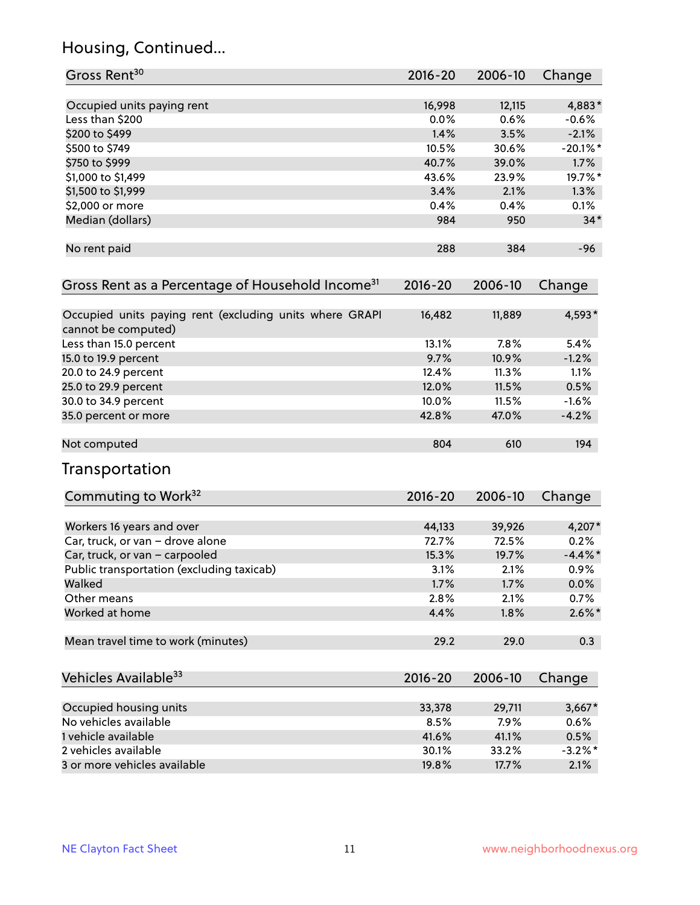## Housing, Continued...

| Gross Rent <sup>30</sup>                                                       | 2016-20     | 2006-10 | Change     |
|--------------------------------------------------------------------------------|-------------|---------|------------|
| Occupied units paying rent                                                     | 16,998      | 12,115  | 4,883*     |
| Less than \$200                                                                | 0.0%        | 0.6%    | $-0.6\%$   |
| \$200 to \$499                                                                 | 1.4%        | 3.5%    | $-2.1%$    |
| \$500 to \$749                                                                 | 10.5%       | 30.6%   | $-20.1%$   |
| \$750 to \$999                                                                 | 40.7%       | 39.0%   | 1.7%       |
| \$1,000 to \$1,499                                                             | 43.6%       | 23.9%   | 19.7%*     |
| \$1,500 to \$1,999                                                             | 3.4%        | 2.1%    | 1.3%       |
| \$2,000 or more                                                                | 0.4%        | 0.4%    | 0.1%       |
| Median (dollars)                                                               | 984         | 950     | $34*$      |
| No rent paid                                                                   | 288         | 384     | $-96$      |
| Gross Rent as a Percentage of Household Income <sup>31</sup>                   | $2016 - 20$ | 2006-10 | Change     |
| Occupied units paying rent (excluding units where GRAPI<br>cannot be computed) | 16,482      | 11,889  | 4,593*     |
| Less than 15.0 percent                                                         | 13.1%       | 7.8%    | 5.4%       |
| 15.0 to 19.9 percent                                                           | 9.7%        | 10.9%   | $-1.2%$    |
| 20.0 to 24.9 percent                                                           | 12.4%       | 11.3%   | 1.1%       |
| 25.0 to 29.9 percent                                                           | 12.0%       | 11.5%   | 0.5%       |
| 30.0 to 34.9 percent                                                           | 10.0%       | 11.5%   | $-1.6%$    |
| 35.0 percent or more                                                           | 42.8%       | 47.0%   | $-4.2%$    |
| Not computed                                                                   | 804         | 610     | 194        |
| Transportation                                                                 |             |         |            |
| Commuting to Work <sup>32</sup>                                                | 2016-20     | 2006-10 | Change     |
| Workers 16 years and over                                                      | 44,133      | 39,926  | 4,207*     |
| Car, truck, or van - drove alone                                               | 72.7%       | 72.5%   | 0.2%       |
| Car, truck, or van - carpooled                                                 | 15.3%       | 19.7%   | $-4.4\%$ * |
| Public transportation (excluding taxicab)                                      | 3.1%        | 2.1%    | 0.9%       |
| Walked                                                                         | 1.7%        | 1.7%    | 0.0%       |
| Other means                                                                    | 2.8%        | 2.1%    | 0.7%       |
| Worked at home                                                                 | 4.4%        | 1.8%    | $2.6\%$ *  |
| Mean travel time to work (minutes)                                             | 29.2        | 29.0    | 0.3        |
| Vehicles Available <sup>33</sup>                                               | 2016-20     | 2006-10 | Change     |
| Occupied housing units                                                         | 33,378      | 29,711  | $3,667*$   |
| No vehicles available                                                          | 8.5%        | 7.9%    | 0.6%       |
| 1 vehicle available                                                            | 41.6%       | 41.1%   | 0.5%       |
| 2 vehicles available                                                           | 30.1%       | 33.2%   | $-3.2\%$ * |
| 3 or more vehicles available                                                   | 19.8%       | 17.7%   | 2.1%       |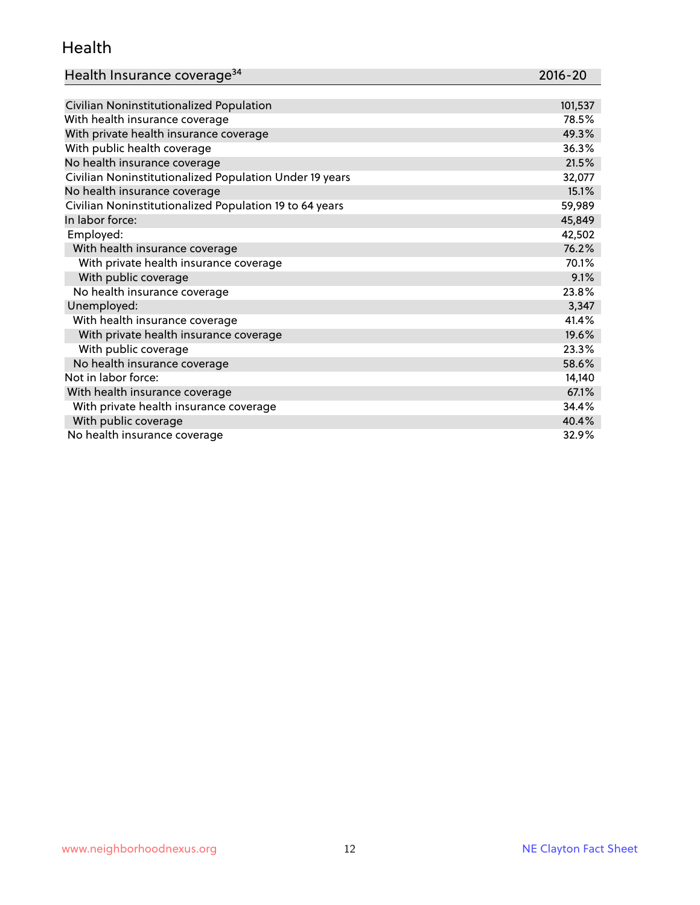#### Health

| Health Insurance coverage <sup>34</sup>                 | 2016-20 |
|---------------------------------------------------------|---------|
|                                                         |         |
| Civilian Noninstitutionalized Population                | 101,537 |
| With health insurance coverage                          | 78.5%   |
| With private health insurance coverage                  | 49.3%   |
| With public health coverage                             | 36.3%   |
| No health insurance coverage                            | 21.5%   |
| Civilian Noninstitutionalized Population Under 19 years | 32,077  |
| No health insurance coverage                            | 15.1%   |
| Civilian Noninstitutionalized Population 19 to 64 years | 59,989  |
| In labor force:                                         | 45,849  |
| Employed:                                               | 42,502  |
| With health insurance coverage                          | 76.2%   |
| With private health insurance coverage                  | 70.1%   |
| With public coverage                                    | 9.1%    |
| No health insurance coverage                            | 23.8%   |
| Unemployed:                                             | 3,347   |
| With health insurance coverage                          | 41.4%   |
| With private health insurance coverage                  | 19.6%   |
| With public coverage                                    | 23.3%   |
| No health insurance coverage                            | 58.6%   |
| Not in labor force:                                     | 14,140  |
| With health insurance coverage                          | 67.1%   |
| With private health insurance coverage                  | 34.4%   |
| With public coverage                                    | 40.4%   |
| No health insurance coverage                            | 32.9%   |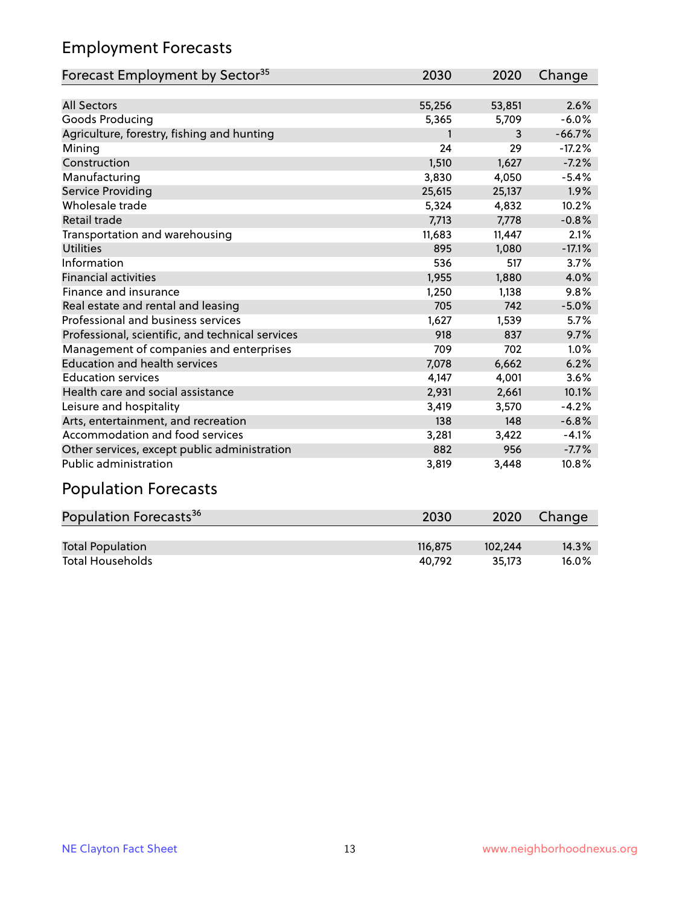## Employment Forecasts

| Forecast Employment by Sector <sup>35</sup>      | 2030   | 2020   | Change   |
|--------------------------------------------------|--------|--------|----------|
|                                                  |        |        |          |
| <b>All Sectors</b>                               | 55,256 | 53,851 | 2.6%     |
| Goods Producing                                  | 5,365  | 5,709  | $-6.0%$  |
| Agriculture, forestry, fishing and hunting       | 1      | 3      | $-66.7%$ |
| Mining                                           | 24     | 29     | $-17.2%$ |
| Construction                                     | 1,510  | 1,627  | $-7.2%$  |
| Manufacturing                                    | 3,830  | 4,050  | $-5.4%$  |
| Service Providing                                | 25,615 | 25,137 | 1.9%     |
| Wholesale trade                                  | 5,324  | 4,832  | 10.2%    |
| Retail trade                                     | 7,713  | 7,778  | $-0.8%$  |
| Transportation and warehousing                   | 11,683 | 11,447 | 2.1%     |
| <b>Utilities</b>                                 | 895    | 1,080  | $-17.1%$ |
| Information                                      | 536    | 517    | 3.7%     |
| <b>Financial activities</b>                      | 1,955  | 1,880  | 4.0%     |
| Finance and insurance                            | 1,250  | 1,138  | 9.8%     |
| Real estate and rental and leasing               | 705    | 742    | $-5.0%$  |
| Professional and business services               | 1,627  | 1,539  | 5.7%     |
| Professional, scientific, and technical services | 918    | 837    | 9.7%     |
| Management of companies and enterprises          | 709    | 702    | 1.0%     |
| <b>Education and health services</b>             | 7,078  | 6,662  | 6.2%     |
| <b>Education services</b>                        | 4,147  | 4,001  | 3.6%     |
| Health care and social assistance                | 2,931  | 2,661  | 10.1%    |
| Leisure and hospitality                          | 3,419  | 3,570  | $-4.2%$  |
| Arts, entertainment, and recreation              | 138    | 148    | $-6.8%$  |
| Accommodation and food services                  | 3,281  | 3,422  | $-4.1%$  |
| Other services, except public administration     | 882    | 956    | $-7.7%$  |
| <b>Public administration</b>                     | 3,819  | 3,448  | 10.8%    |
|                                                  |        |        |          |

#### Population Forecasts

| Population Forecasts <sup>36</sup> | 2030    | 2020    | Change   |
|------------------------------------|---------|---------|----------|
|                                    |         |         |          |
| <b>Total Population</b>            | 116.875 | 102.244 | 14.3%    |
| <b>Total Households</b>            | 40.792  | 35.173  | $16.0\%$ |